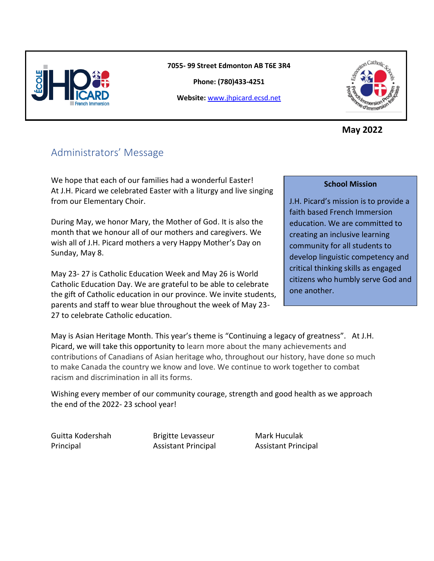

**7055- 99 Street Edmonton AB T6E 3R4**

**Phone: (780)433-4251**

**Website:** [www.jhpicard.ecsd.net](http://www.jhpicard.ecsd.net/)



**May 2022**

# Administrators' Message

We hope that each of our families had a wonderful Easter! At J.H. Picard we celebrated Easter with a liturgy and live singing from our Elementary Choir.

During May, we honor Mary, the Mother of God. It is also the month that we honour all of our mothers and caregivers. We wish all of J.H. Picard mothers a very Happy Mother's Day on Sunday, May 8.

May 23- 27 is Catholic Education Week and May 26 is World Catholic Education Day. We are grateful to be able to celebrate the gift of Catholic education in our province. We invite students, parents and staff to wear blue throughout the week of May 23- 27 to celebrate Catholic education.

#### **School Mission**

J.H. Picard's mission is to provide a faith based French Immersion education. We are committed to creating an inclusive learning community for all students to develop linguistic competency and critical thinking skills as engaged citizens who humbly serve God and one another.

May is Asian Heritage Month. This year's theme is "Continuing a legacy of greatness". At J.H. Picard, we will take this opportunity to learn more about the many achievements and contributions of Canadians of Asian heritage who, throughout our history, have done so much to make Canada the country we know and love. We continue to work together to combat racism and discrimination in all its forms.

Wishing every member of our community courage, strength and good health as we approach the end of the 2022- 23 school year!

Guitta Kodershah Brigitte Levasseur Mark Huculak Principal Assistant Principal Assistant Principal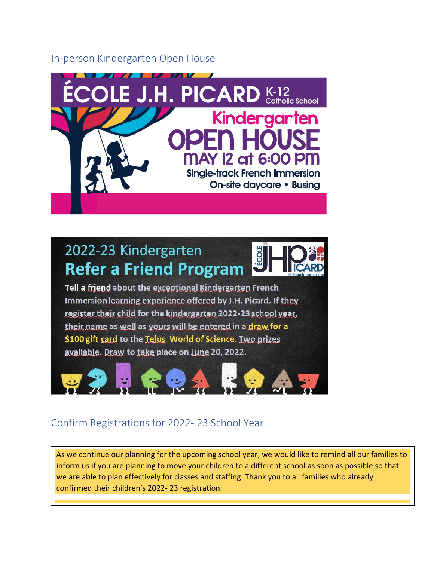#### In-person Kindergarten Open House



# 2022-23 Kindergarten **Refer a Friend Program**



Tell a friend about the exceptional Kindergarten French Immersion learning experience offered by J.H. Picard. If they register their child for the kindergarten 2022-23 school year, their name as well as yours will be entered in a draw for a \$100 gift card to the Telus World of Science. Two prizes available. Draw to take place on June 20, 2022.



## Confirm Registrations for 2022- 23 School Year

As we continue our planning for the upcoming school year, we would like to remind all our families to inform us if you are planning to move your children to a different school as soon as possible so that we are able to plan effectively for classes and staffing. Thank you to all families who already confirmed their children's 2022- 23 registration.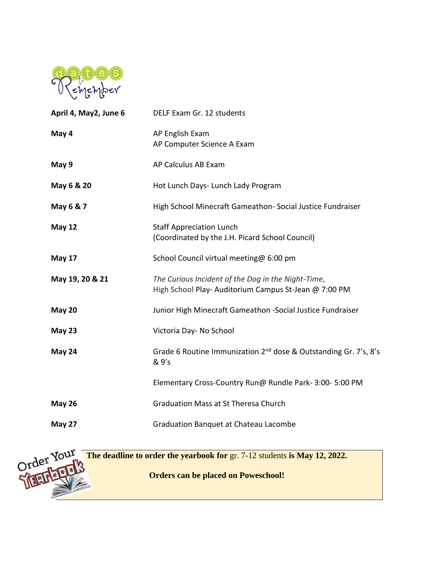

| April 4, May2, June 6 | DELF Exam Gr. 12 students                                                                                   |
|-----------------------|-------------------------------------------------------------------------------------------------------------|
| May 4                 | AP English Exam<br>AP Computer Science A Exam                                                               |
| May 9                 | AP Calculus AB Exam                                                                                         |
| May 6 & 20            | Hot Lunch Days- Lunch Lady Program                                                                          |
| May 6 & 7             | High School Minecraft Gameathon- Social Justice Fundraiser                                                  |
| <b>May 12</b>         | <b>Staff Appreciation Lunch</b><br>(Coordinated by the J.H. Picard School Council)                          |
| <b>May 17</b>         | School Council virtual meeting@ 6:00 pm                                                                     |
| May 19, 20 & 21       | The Curious Incident of the Dog in the Night-Time,<br>High School Play- Auditorium Campus St-Jean @ 7:00 PM |
| <b>May 20</b>         | Junior High Minecraft Gameathon -Social Justice Fundraiser                                                  |
| <b>May 23</b>         | Victoria Day- No School                                                                                     |
| May 24                | Grade 6 Routine Immunization 2 <sup>nd</sup> dose & Outstanding Gr. 7's, 8's<br>& 9's                       |
|                       | Elementary Cross-Country Run@ Rundle Park- 3:00- 5:00 PM                                                    |
| <b>May 26</b>         | <b>Graduation Mass at St Theresa Church</b>                                                                 |
| May 27                | <b>Graduation Banquet at Chateau Lacombe</b>                                                                |

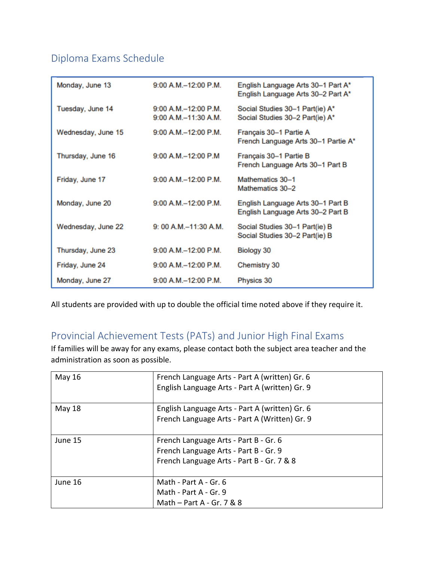# Diploma Exams Schedule

| Monday, June 13    | 9:00 A.M.-12:00 P.M.                            | English Language Arts 30-1 Part A*<br>English Language Arts 30-2 Part A* |
|--------------------|-------------------------------------------------|--------------------------------------------------------------------------|
| Tuesday, June 14   | $9:00 A.M. -12:00 P.M.$<br>9:00 A.M.-11:30 A.M. | Social Studies 30-1 Part(ie) A*<br>Social Studies 30-2 Part(ie) A*       |
| Wednesday, June 15 | $9:00$ A.M. $-12:00$ P.M.                       | Français 30-1 Partie A<br>French Language Arts 30-1 Partie A*            |
| Thursday, June 16  | 9:00 A.M.-12:00 P.M                             | Français 30-1 Partie B<br>French Language Arts 30-1 Part B               |
| Friday, June 17    | 9:00 A.M.-12:00 P.M.                            | Mathematics 30-1<br>Mathematics 30-2                                     |
| Monday, June 20    | 9:00 A.M.-12:00 P.M.                            | English Language Arts 30-1 Part B<br>English Language Arts 30-2 Part B   |
| Wednesday, June 22 | $9:00 A.M. -11:30 A.M.$                         | Social Studies 30-1 Part(ie) B<br>Social Studies 30-2 Part(ie) B         |
| Thursday, June 23  | 9:00 A.M.-12:00 P.M.                            | Biology 30                                                               |
| Friday, June 24    | $9:00$ A.M. $-12:00$ P.M.                       | Chemistry 30                                                             |
| Monday, June 27    | 9:00 A.M.-12:00 P.M.                            | Physics 30                                                               |

All students are provided with up to double the official time noted above if they require it.

## Provincial Achievement Tests (PATs) and Junior High Final Exams

If families will be away for any exams, please contact both the subject area teacher and the administration as soon as possible.

| May 16  | French Language Arts - Part A (written) Gr. 6<br>English Language Arts - Part A (written) Gr. 9                             |
|---------|-----------------------------------------------------------------------------------------------------------------------------|
| May 18  | English Language Arts - Part A (written) Gr. 6<br>French Language Arts - Part A (Written) Gr. 9                             |
| June 15 | French Language Arts - Part B - Gr. 6<br>French Language Arts - Part B - Gr. 9<br>French Language Arts - Part B - Gr. 7 & 8 |
| June 16 | Math - Part A - Gr. 6<br>Math - Part A - Gr. 9<br>Math $-$ Part A - Gr. 7 & 8                                               |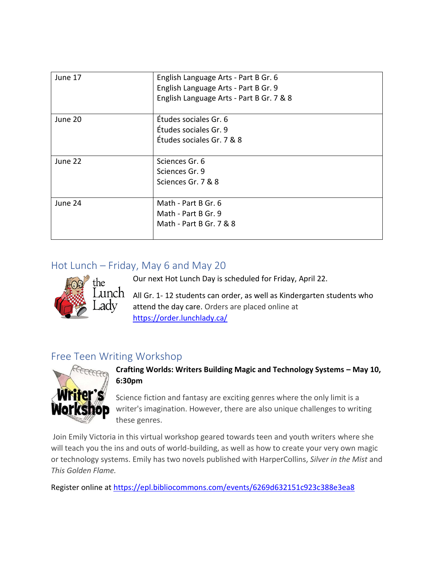| June 17 | English Language Arts - Part B Gr. 6<br>English Language Arts - Part B Gr. 9<br>English Language Arts - Part B Gr. 7 & 8 |
|---------|--------------------------------------------------------------------------------------------------------------------------|
| June 20 | Études sociales Gr. 6<br>Études sociales Gr. 9<br>Études sociales Gr. 7 & 8                                              |
| June 22 | Sciences Gr. 6<br>Sciences Gr. 9<br>Sciences Gr. 7 & 8                                                                   |
| June 24 | Math - Part B Gr. 6<br>Math - Part B Gr. 9<br>Math - Part B Gr. 7 & 8                                                    |

## Hot Lunch – Friday, May 6 and May 20



Our next Hot Lunch Day is scheduled for Friday, April 22. All Gr. 1- 12 students can order, as well as Kindergarten students who attend the day care. Orders are placed online at

<https://order.lunchlady.ca/>

## Free Teen Writing Workshop



**Crafting Worlds: Writers Building Magic and Technology Systems – May 10, 6:30pm**

Science fiction and fantasy are exciting genres where the only limit is a writer's imagination. However, there are also unique challenges to writing these genres.

Join Emily Victoria in this virtual workshop geared towards teen and youth writers where she will teach you the ins and outs of world-building, as well as how to create your very own magic or technology systems. Emily has two novels published with HarperCollins, *Silver in the Mist* and *This Golden Flame.*

Register online at [https://epl.bibliocommons.com/events/6269d632151c923c388e3ea8](https://can01.safelinks.protection.outlook.com/?url=https%3A%2F%2Fepl.bibliocommons.com%2Fevents%2F6269d632151c923c388e3ea8&data=05%7C01%7CGuitta.Kodershah%40ecsd.net%7Ce895fffd9f104fb1efd708da296d98e1%7Cb18d9f6f0743460da19b0b3297eeeb89%7C0%7C0%7C637867847939015850%7CUnknown%7CTWFpbGZsb3d8eyJWIjoiMC4wLjAwMDAiLCJQIjoiV2luMzIiLCJBTiI6Ik1haWwiLCJXVCI6Mn0%3D%7C3000%7C%7C%7C&sdata=rxwcv8Psg5M%2F9nQH8%2FemHefqCBil29%2FXOVJYjbpa3BM%3D&reserved=0)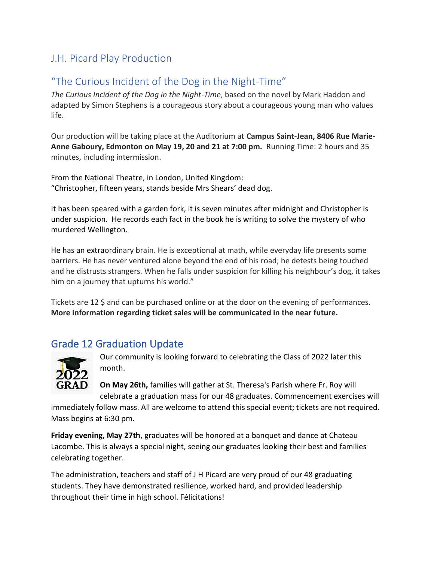## J.H. Picard Play Production

## "The Curious Incident of the Dog in the Night-Time"

*The Curious Incident of the Dog in the Night-Time*, based on the novel by Mark Haddon and adapted by Simon Stephens is a courageous story about a courageous young man who values life.

Our production will be taking place at the Auditorium at **Campus Saint-Jean, 8406 Rue Marie-Anne Gaboury, Edmonton on May 19, 20 and 21 at 7:00 pm.** Running Time: 2 hours and 35 minutes, including intermission.

From the National Theatre, in London, United Kingdom: "Christopher, fifteen years, stands beside Mrs Shears' dead dog.

It has been speared with a garden fork, it is seven minutes after midnight and Christopher is under suspicion. He records each fact in the book he is writing to solve the mystery of who murdered Wellington.

He has an extraordinary brain. He is exceptional at math, while everyday life presents some barriers. He has never ventured alone beyond the end of his road; he detests being touched and he distrusts strangers. When he falls under suspicion for killing his neighbour's dog, it takes him on a journey that upturns his world."

Tickets are 12 \$ and can be purchased online or at the door on the evening of performances. **More information regarding ticket sales will be communicated in the near future.**

## Grade 12 Graduation Update



Our community is looking forward to celebrating the Class of 2022 later this month.

**On May 26th,** families will gather at St. Theresa's Parish where Fr. Roy will celebrate a graduation mass for our 48 graduates. Commencement exercises will

immediately follow mass. All are welcome to attend this special event; tickets are not required. Mass begins at 6:30 pm.

**Friday evening, May 27th**, graduates will be honored at a banquet and dance at Chateau Lacombe. This is always a special night, seeing our graduates looking their best and families celebrating together.

The administration, teachers and staff of J H Picard are very proud of our 48 graduating students. They have demonstrated resilience, worked hard, and provided leadership throughout their time in high school. Félicitations!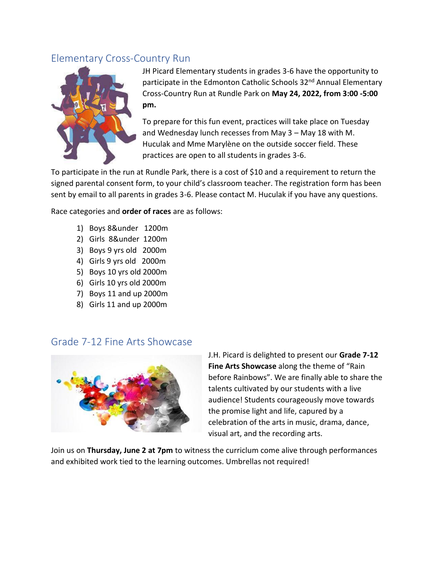## Elementary Cross-Country Run



JH Picard Elementary students in grades 3-6 have the opportunity to participate in the Edmonton Catholic Schools 32<sup>nd</sup> Annual Elementary Cross-Country Run at Rundle Park on **May 24, 2022, from 3:00 -5:00 pm.** 

To prepare for this fun event, practices will take place on Tuesday and Wednesday lunch recesses from May 3 – May 18 with M. Huculak and Mme Marylène on the outside soccer field. These practices are open to all students in grades 3-6.

To participate in the run at Rundle Park, there is a cost of \$10 and a requirement to return the signed parental consent form, to your child's classroom teacher. The registration form has been sent by email to all parents in grades 3-6. Please contact M. Huculak if you have any questions.

Race categories and **order of races** are as follows:

- 1) Boys 8&under 1200m
- 2) Girls 8&under 1200m
- 3) Boys 9 yrs old 2000m
- 4) Girls 9 yrs old 2000m
- 5) Boys 10 yrs old 2000m
- 6) Girls 10 yrs old 2000m
- 7) Boys 11 and up 2000m
- 8) Girls 11 and up 2000m

#### Grade 7-12 Fine Arts Showcase



J.H. Picard is delighted to present our **Grade 7-12 Fine Arts Showcase** along the theme of "Rain before Rainbows". We are finally able to share the talents cultivated by our students with a live audience! Students courageously move towards the promise light and life, capured by a celebration of the arts in music, drama, dance, visual art, and the recording arts.

Join us on **Thursday, June 2 at 7pm** to witness the curriclum come alive through performances and exhibited work tied to the learning outcomes. Umbrellas not required!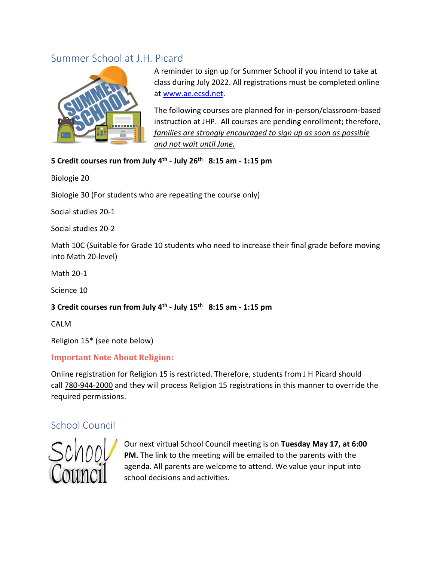## Summer School at J.H. Picard



A reminder to sign up for Summer School if you intend to take at class during July 2022. All registrations must be completed online at [www.ae.ecsd.net.](https://can01.safelinks.protection.outlook.com/?url=http%3A%2F%2Fwww.ae.ecsd.net%2F&data=05%7C01%7CGuitta.Kodershah%40ecsd.net%7C2cdf1ac7c11d49578e8008da2bfc9477%7Cb18d9f6f0743460da19b0b3297eeeb89%7C0%7C0%7C637870661061861786%7CUnknown%7CTWFpbGZsb3d8eyJWIjoiMC4wLjAwMDAiLCJQIjoiV2luMzIiLCJBTiI6Ik1haWwiLCJXVCI6Mn0%3D%7C3000%7C%7C%7C&sdata=xGQKzSM1eLM2aSA0rUFS2zanm4IaTqQarfeXNvsagSU%3D&reserved=0)

The following courses are planned for in-person/classroom-based instruction at JHP. All courses are pending enrollment; therefore, *families are strongly encouraged to sign up as soon as possible and not wait until June.*

#### **5 Credit courses run from July 4th - July 26th 8:15 am - 1:15 pm**

Biologie 20

Biologie 30 (For students who are repeating the course only)

Social studies 20-1

Social studies 20-2

Math 10C (Suitable for Grade 10 students who need to increase their final grade before moving into Math 20-level)

Math 20-1

Science 10

#### **3 Credit courses run from July 4th - July 15th 8:15 am - 1:15 pm**

CALM

Religion 15\* (see note below)

#### **Important Note About Religion:**

Online registration for Religion 15 is restricted. Therefore, students from J H Picard should call 780-944-2000 and they will process Religion 15 registrations in this manner to override the required permissions.

### School Council



Our next virtual School Council meeting is on **Tuesday May 17, at 6:00 PM.** The link to the meeting will be emailed to the parents with the agenda. All parents are welcome to attend. We value your input into school decisions and activities.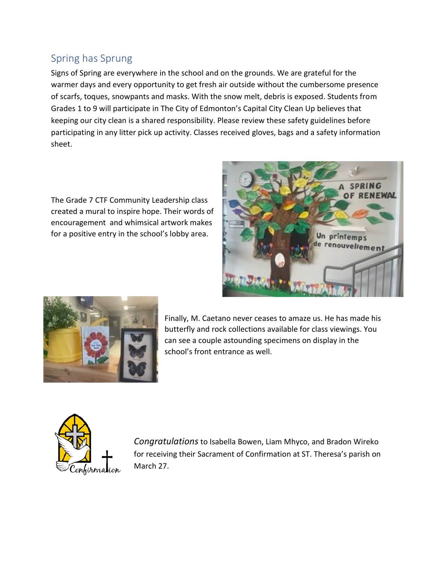# Spring has Sprung

Signs of Spring are everywhere in the school and on the grounds. We are grateful for the warmer days and every opportunity to get fresh air outside without the cumbersome presence of scarfs, toques, snowpants and masks. With the snow melt, debris is exposed. Students from Grades 1 to 9 will participate in The City of Edmonton's Capital City Clean Up believes that keeping our city clean is a shared responsibility. Please review these safety guidelines before participating in any litter pick up activity. Classes received gloves, bags and a safety information sheet.

The Grade 7 CTF Community Leadership class created a mural to inspire hope. Their words of encouragement and whimsical artwork makes for a positive entry in the school's lobby area.





Finally, M. Caetano never ceases to amaze us. He has made his butterfly and rock collections available for class viewings. You can see a couple astounding specimens on display in the school's front entrance as well.



*Congratulations*to Isabella Bowen, Liam Mhyco, and Bradon Wireko for receiving their Sacrament of Confirmation at ST. Theresa's parish on March 27.